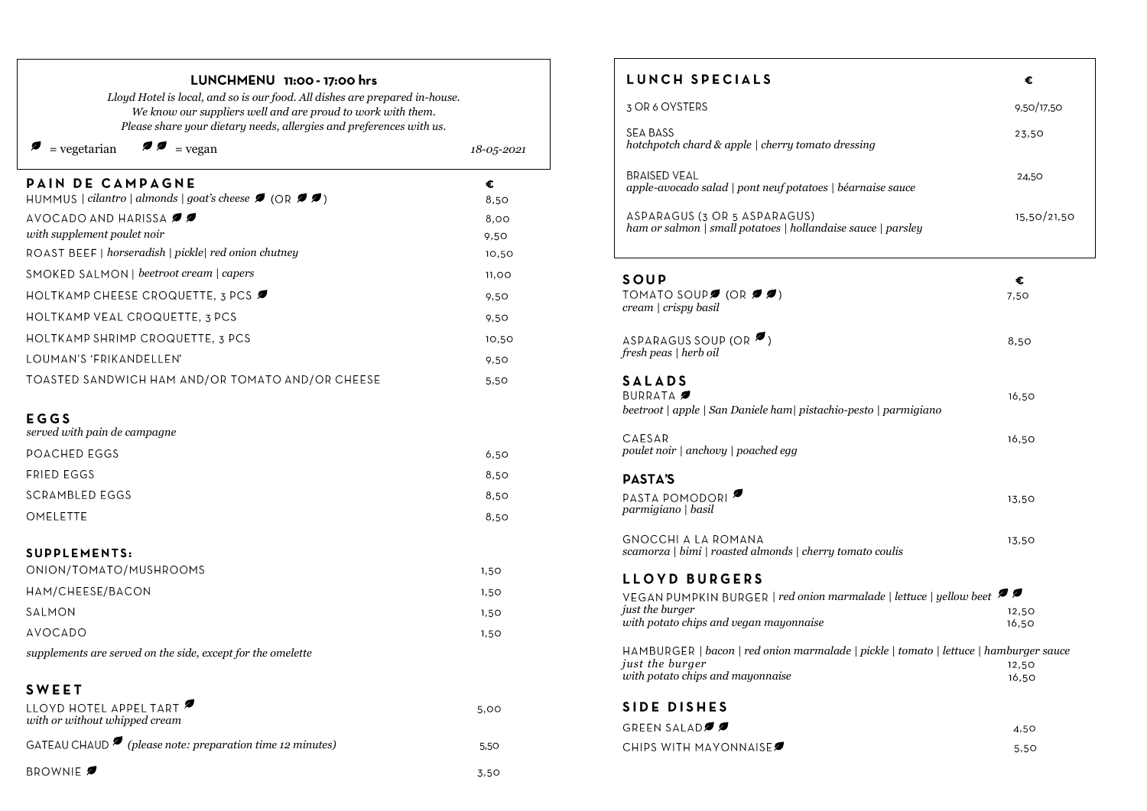| Lloyd Hotel is local, and so is our food. All dishes are prepared in-house.<br>We know our suppliers well and are proud to work with them.<br>Please share your dietary needs, allergies and preferences with us. |            |  |
|-------------------------------------------------------------------------------------------------------------------------------------------------------------------------------------------------------------------|------------|--|
| $\bullet$ $\bullet$ = vegan<br>= vegetarian                                                                                                                                                                       | 18-05-2021 |  |
| PAIN DE CAMPAGNE<br>HUMMUS   cilantro   almonds   goat's cheese $\blacktriangledown$ (OR $\blacktriangledown$ )                                                                                                   | €<br>8,50  |  |
| AVOCADO AND HARISSA $\blacktriangledown$                                                                                                                                                                          | 8,00       |  |
| with supplement poulet noir                                                                                                                                                                                       | 9,50       |  |
| ROAST BEEF   horseradish   pickle   red onion chutney                                                                                                                                                             | 10,50      |  |
| SMOKED SALMON   beetroot cream   capers                                                                                                                                                                           | 11,00      |  |
| HOLTKAMP CHEESE CROQUETTE, 3 PCS                                                                                                                                                                                  | 9,50       |  |
| HOLTKAMP VEAL CROQUETTE, 3 PCS                                                                                                                                                                                    | 9,50       |  |
| HOLTKAMP SHRIMP CROQUETTE, 3 PCS                                                                                                                                                                                  | 10,50      |  |
| LOUMAN'S 'FRIKANDELLEN'                                                                                                                                                                                           | 9,50       |  |
| TOASTED SANDWICH HAM AND/OR TOMATO AND/OR CHEESE                                                                                                                                                                  | 5,50       |  |
| EGGS<br>served with pain de campagne                                                                                                                                                                              |            |  |
| POACHED EGGS                                                                                                                                                                                                      | 6,50       |  |
| <b>FRIED EGGS</b>                                                                                                                                                                                                 | 8,50       |  |
| <b>SCRAMBLED EGGS</b>                                                                                                                                                                                             | 8,50       |  |
| OMELETTE                                                                                                                                                                                                          | 8,50       |  |
| SUPPLEMENTS:<br>ONION/TOMATO/MUSHROOMS                                                                                                                                                                            | 1,50       |  |
| HAM/CHEESE/BACON                                                                                                                                                                                                  | 1,50       |  |
| SALMON                                                                                                                                                                                                            | 1,50       |  |
| <b>AVOCADO</b>                                                                                                                                                                                                    | 1,50       |  |
| supplements are served on the side, except for the omelette                                                                                                                                                       |            |  |
| <b>SWEET</b><br>LLOYD HOTEL APPEL TART                                                                                                                                                                            |            |  |
| with or without whipped cream                                                                                                                                                                                     | 5,00       |  |
| GATEAU CHAUD $\bullet$ (please note: preparation time 12 minutes)                                                                                                                                                 | 5.50       |  |

3.50

BROWNIE **2** 

LUNCHMENU 11:00 - 17:00 hrs

#### LUNCH SPECIALS  $\epsilon$ 3 OR 6 OYSTERS 9.50/17.50 SEA BASS 23,50 *hotchpotch chard & apple | cherry tomato dressing* **BRAISED VEAL** 24,50 *apple-avocado salad | pont neuf potatoes | béarnaise sauce*  ASPARAGUS (3 OR 5 ASPARAGUS) 15,50/21,50 *ham or salmon | small potatoes | hollandaise sauce | parsley* SOUP  $\epsilon$ TOMATO SOUPS (OR  $\mathcal{J}$ ) 7,50 *cream | crispy basil* ASPARAGUS SOUP (OR  $\blacktriangleright$ ) 8,50 *fresh peas | herb oil*  **SALADS** BURRATA 16,50 *beetroot | apple | San Daniele ham| pistachio-pesto | parmigiano poulet noir | anchovy | poached egg* 16,50 **PASTA'S** PASTA POMODORI<sup>2</sup> 13,50 *parmigiano | basil*  **GNOCCHI A LA ROMANA** 13,50 *scamorza | bimi | roasted almonds | cherry tomato coulis*  **LLOYD BURGERS** *| red onion marmalade | lettuce | yellow beet just the burger*  12,50 *with potato chips and vegan mayonnaise*  16,50 *| bacon | red onion marmalade | pickle | tomato | lettuce | hamburger sauce just the burger*  12,50 *with potato chips and mayonnaise* 16,50 SIDE DISHES GREEN SALADØØ  $4,50$ CHIPS WITH MAYONNAISES  $5,50$